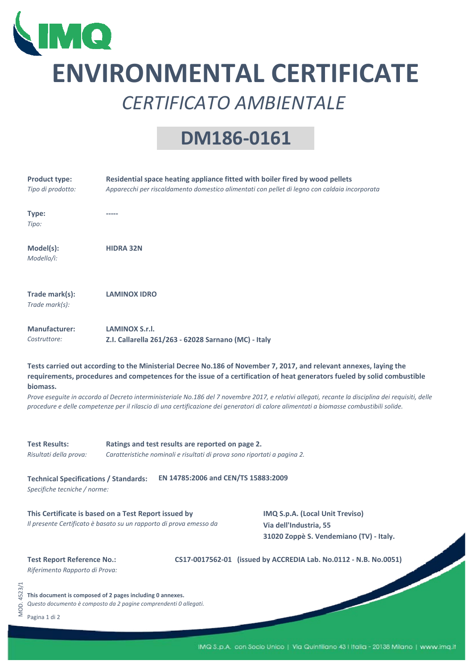

## **ENVIRONMENTAL CERTIFICATE** *CERTIFICATO AMBIENTALE*

## **DM186‐0161**

|             | <b>Product type:</b><br>Tipo di prodotto:                                                                                                                                                                                                                                                                                                                                                                                                                                                                                                                  | Residential space heating appliance fitted with boiler fired by wood pellets<br>Apparecchi per riscaldamento domestico alimentati con pellet di legno con caldaia incorporata                                                      |  |  |  |  |
|-------------|------------------------------------------------------------------------------------------------------------------------------------------------------------------------------------------------------------------------------------------------------------------------------------------------------------------------------------------------------------------------------------------------------------------------------------------------------------------------------------------------------------------------------------------------------------|------------------------------------------------------------------------------------------------------------------------------------------------------------------------------------------------------------------------------------|--|--|--|--|
|             | Type:<br>Tipo:                                                                                                                                                                                                                                                                                                                                                                                                                                                                                                                                             |                                                                                                                                                                                                                                    |  |  |  |  |
|             | Model(s):<br>Modello/i:                                                                                                                                                                                                                                                                                                                                                                                                                                                                                                                                    | <b>HIDRA 32N</b>                                                                                                                                                                                                                   |  |  |  |  |
|             | Trade mark(s):<br>Trade mark(s):                                                                                                                                                                                                                                                                                                                                                                                                                                                                                                                           | <b>LAMINOX IDRO</b>                                                                                                                                                                                                                |  |  |  |  |
|             | <b>Manufacturer:</b><br>Costruttore:                                                                                                                                                                                                                                                                                                                                                                                                                                                                                                                       | LAMINOX S.r.I.<br>Z.I. Callarella 261/263 - 62028 Sarnano (MC) - Italy                                                                                                                                                             |  |  |  |  |
|             | Tests carried out according to the Ministerial Decree No.186 of November 7, 2017, and relevant annexes, laying the<br>requirements, procedures and competences for the issue of a certification of heat generators fueled by solid combustible<br>biomass.<br>Prove eseguite in accordo al Decreto interministeriale No.186 del 7 novembre 2017, e relativi allegati, recante la disciplina dei requisiti, delle<br>procedure e delle competenze per il rilascio di una certificazione dei generatori di calore alimentati a biomasse combustibili solide. |                                                                                                                                                                                                                                    |  |  |  |  |
|             | <b>Test Results:</b><br>Risultati della prova:                                                                                                                                                                                                                                                                                                                                                                                                                                                                                                             | Ratings and test results are reported on page 2.<br>Caratteristiche nominali e risultati di prova sono riportati a pagina 2.                                                                                                       |  |  |  |  |
|             | EN 14785:2006 and CEN/TS 15883:2009<br><b>Technical Specifications / Standards:</b><br>Specifiche tecniche / norme:                                                                                                                                                                                                                                                                                                                                                                                                                                        |                                                                                                                                                                                                                                    |  |  |  |  |
|             |                                                                                                                                                                                                                                                                                                                                                                                                                                                                                                                                                            | This Certificate is based on a Test Report issued by<br>IMQ S.p.A. (Local Unit Treviso)<br>Il presente Certificato è basato su un rapporto di prova emesso da<br>Via dell'Industria, 55<br>31020 Zoppè S. Vendemiano (TV) - Italy. |  |  |  |  |
|             | <b>Test Report Reference No.:</b><br>Riferimento Rapporto di Prova:                                                                                                                                                                                                                                                                                                                                                                                                                                                                                        | CS17-0017562-01 (issued by ACCREDIA Lab. No.0112 - N.B. No.0051)                                                                                                                                                                   |  |  |  |  |
| MOD. 4523/1 | Pagina 1 di 2                                                                                                                                                                                                                                                                                                                                                                                                                                                                                                                                              | This document is composed of 2 pages including 0 annexes.<br>Questo documento è composto da 2 pagine comprendenti 0 allegati.                                                                                                      |  |  |  |  |